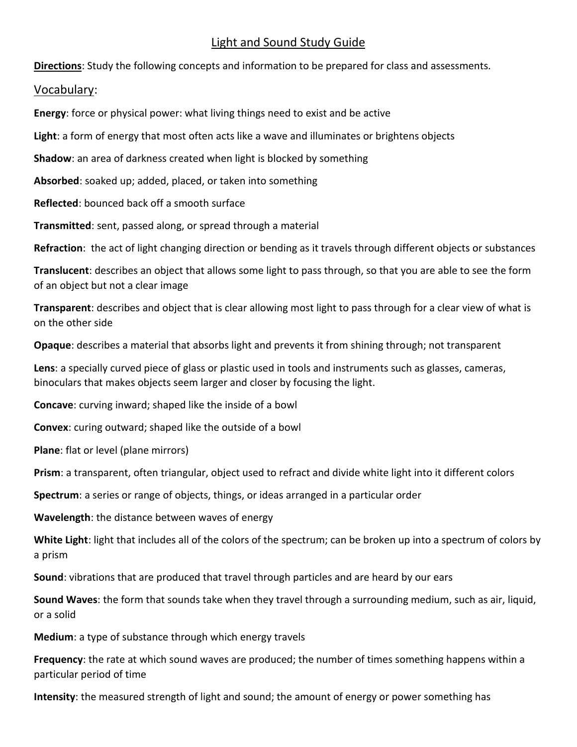# Light and Sound Study Guide

**Directions**: Study the following concepts and information to be prepared for class and assessments.

#### Vocabulary:

**Energy**: force or physical power: what living things need to exist and be active

**Light**: a form of energy that most often acts like a wave and illuminates or brightens objects

**Shadow**: an area of darkness created when light is blocked by something

**Absorbed**: soaked up; added, placed, or taken into something

**Reflected**: bounced back off a smooth surface

**Transmitted**: sent, passed along, or spread through a material

**Refraction**: the act of light changing direction or bending as it travels through different objects or substances

**Translucent**: describes an object that allows some light to pass through, so that you are able to see the form of an object but not a clear image

**Transparent**: describes and object that is clear allowing most light to pass through for a clear view of what is on the other side

**Opaque**: describes a material that absorbs light and prevents it from shining through; not transparent

**Lens**: a specially curved piece of glass or plastic used in tools and instruments such as glasses, cameras, binoculars that makes objects seem larger and closer by focusing the light.

**Concave**: curving inward; shaped like the inside of a bowl

**Convex**: curing outward; shaped like the outside of a bowl

**Plane**: flat or level (plane mirrors)

**Prism**: a transparent, often triangular, object used to refract and divide white light into it different colors

**Spectrum**: a series or range of objects, things, or ideas arranged in a particular order

**Wavelength**: the distance between waves of energy

**White Light**: light that includes all of the colors of the spectrum; can be broken up into a spectrum of colors by a prism

**Sound**: vibrations that are produced that travel through particles and are heard by our ears

**Sound Waves**: the form that sounds take when they travel through a surrounding medium, such as air, liquid, or a solid

**Medium**: a type of substance through which energy travels

**Frequency**: the rate at which sound waves are produced; the number of times something happens within a particular period of time

**Intensity**: the measured strength of light and sound; the amount of energy or power something has